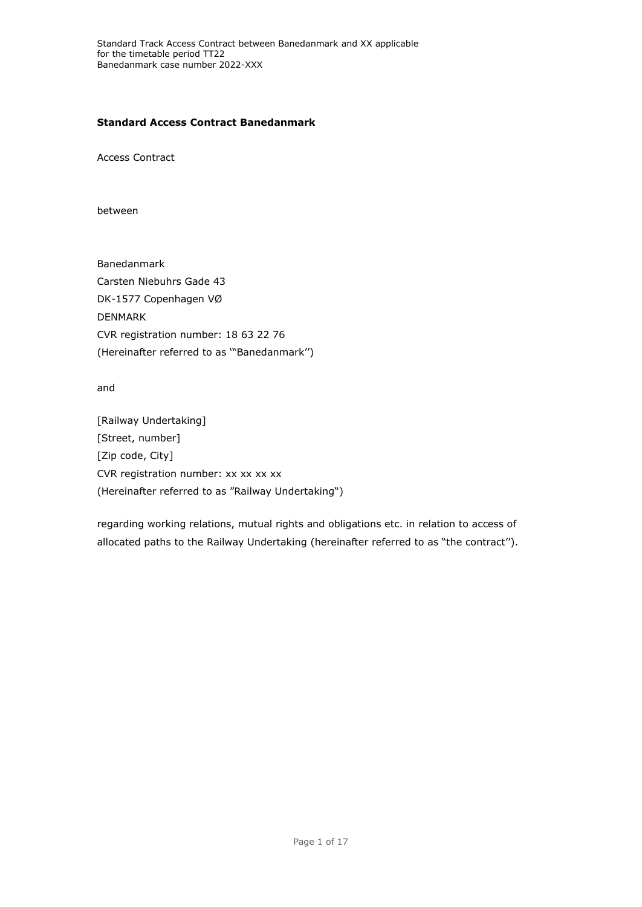## **Standard Access Contract Banedanmark**

Access Contract

between

Banedanmark Carsten Niebuhrs Gade 43 DK-1577 Copenhagen VØ DENMARK CVR registration number: 18 63 22 76 (Hereinafter referred to as '"Banedanmark'')

and

[Railway Undertaking] [Street, number] [Zip code, City] CVR registration number: xx xx xx xx (Hereinafter referred to as "Railway Undertaking")

regarding working relations, mutual rights and obligations etc. in relation to access of allocated paths to the Railway Undertaking (hereinafter referred to as "the contract'').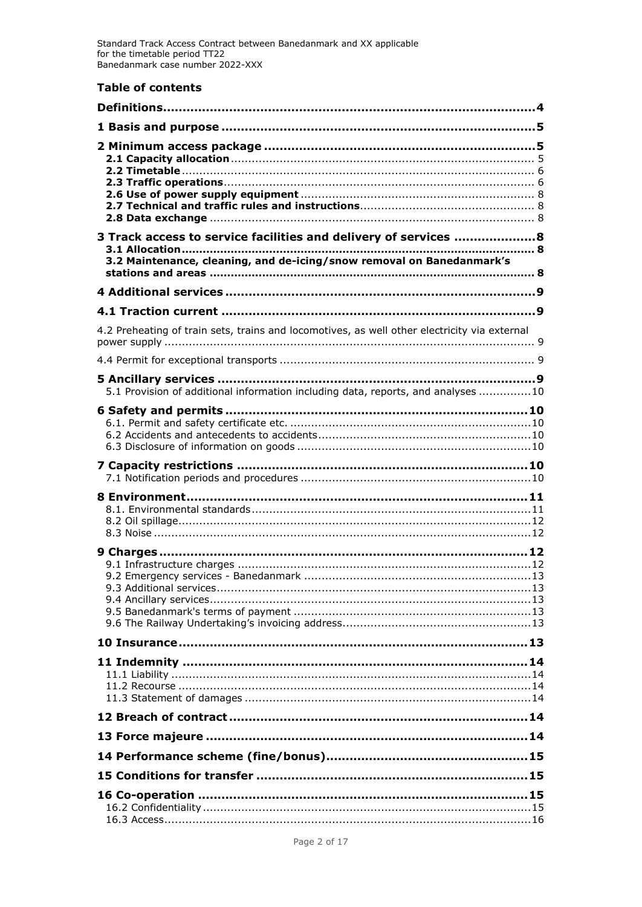# **Table of contents**

| Definitions…………………………………………………………………………………………4                                                                                            |
|-------------------------------------------------------------------------------------------------------------------------------------------|
|                                                                                                                                           |
|                                                                                                                                           |
| 3 Track access to service facilities and delivery of services  8<br>3.2 Maintenance, cleaning, and de-icing/snow removal on Banedanmark's |
|                                                                                                                                           |
|                                                                                                                                           |
| 4.2 Preheating of train sets, trains and locomotives, as well other electricity via external                                              |
|                                                                                                                                           |
| 5.1 Provision of additional information including data, reports, and analyses 10                                                          |
|                                                                                                                                           |
|                                                                                                                                           |
|                                                                                                                                           |
|                                                                                                                                           |
|                                                                                                                                           |
|                                                                                                                                           |
|                                                                                                                                           |
|                                                                                                                                           |
|                                                                                                                                           |
|                                                                                                                                           |
|                                                                                                                                           |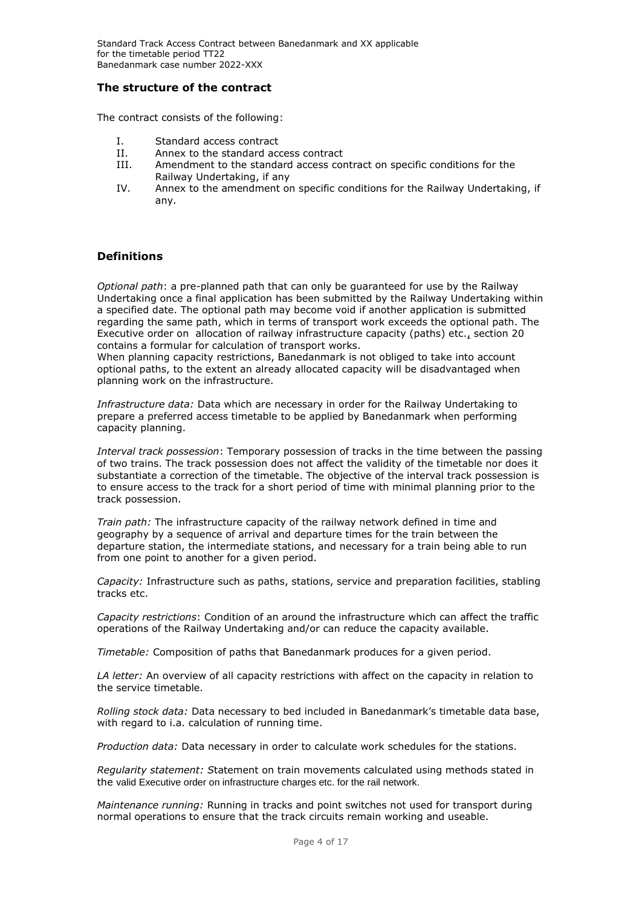## **The structure of the contract**

The contract consists of the following:

- I. Standard access contract
- II. Annex to the standard access contract<br>III Amendment to the standard access con
- Amendment to the standard access contract on specific conditions for the Railway Undertaking, if any
- IV. Annex to the amendment on specific conditions for the Railway Undertaking, if any.

## <span id="page-3-0"></span>**Definitions**

*Optional path*: a pre-planned path that can only be guaranteed for use by the Railway Undertaking once a final application has been submitted by the Railway Undertaking within a specified date. The optional path may become void if another application is submitted regarding the same path, which in terms of transport work exceeds the optional path. The Executive order on [allocation of railway infrastructure capacity \(paths\) etc.,](https://www.retsinformation.dk/Forms/R0710.aspx?id=175108) section 20 contains a formular for calculation of transport works.

When planning capacity restrictions, Banedanmark is not obliged to take into account optional paths, to the extent an already allocated capacity will be disadvantaged when planning work on the infrastructure.

*Infrastructure data:* Data which are necessary in order for the Railway Undertaking to prepare a preferred access timetable to be applied by Banedanmark when performing capacity planning.

*Interval track possession*: Temporary possession of tracks in the time between the passing of two trains. The track possession does not affect the validity of the timetable nor does it substantiate a correction of the timetable. The objective of the interval track possession is to ensure access to the track for a short period of time with minimal planning prior to the track possession.

*Train path:* The infrastructure capacity of the railway network defined in time and geography by a sequence of arrival and departure times for the train between the departure station, the intermediate stations, and necessary for a train being able to run from one point to another for a given period.

*Capacity:* Infrastructure such as paths, stations, service and preparation facilities, stabling tracks etc.

*Capacity restrictions*: Condition of an around the infrastructure which can affect the traffic operations of the Railway Undertaking and/or can reduce the capacity available.

*Timetable:* Composition of paths that Banedanmark produces for a given period.

*LA letter:* An overview of all capacity restrictions with affect on the capacity in relation to the service timetable.

*Rolling stock data:* Data necessary to bed included in Banedanmark's timetable data base, with regard to i.a. calculation of running time.

*Production data:* Data necessary in order to calculate work schedules for the stations.

*Regularity statement: S*tatement on train movements calculated using methods stated in the valid Executive order on infrastructure charges etc. for the rail network.

*Maintenance running:* Running in tracks and point switches not used for transport during normal operations to ensure that the track circuits remain working and useable.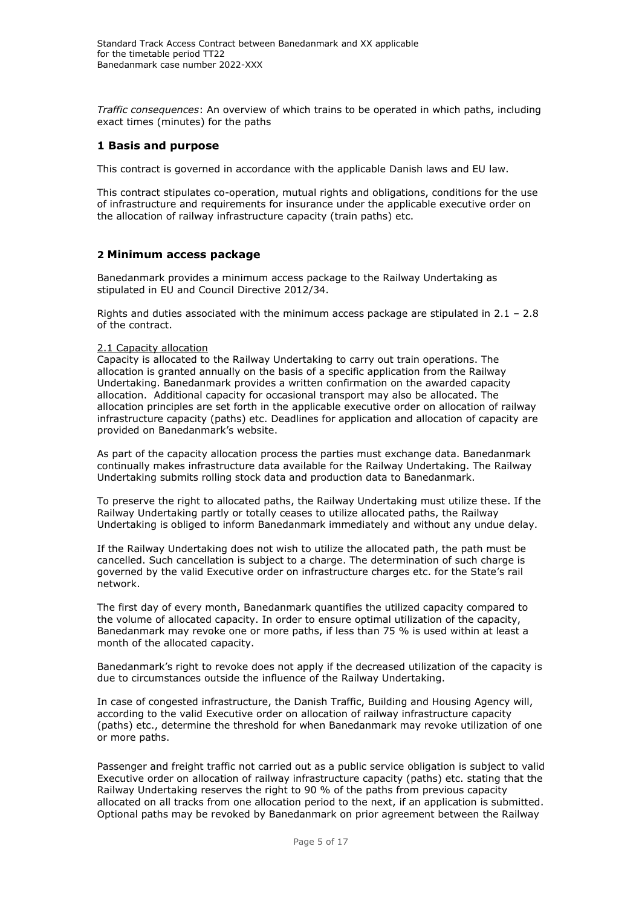*Traffic consequences*: An overview of which trains to be operated in which paths, including exact times (minutes) for the paths

## <span id="page-4-0"></span>**1 Basis and purpose**

This contract is governed in accordance with the applicable Danish laws and EU law.

This contract stipulates co-operation, mutual rights and obligations, conditions for the use of infrastructure and requirements for insurance under the applicable executive order on the allocation of railway infrastructure capacity (train paths) etc.

## <span id="page-4-1"></span>**2 Minimum access package**

Banedanmark provides a minimum access package to the Railway Undertaking as stipulated in EU and Council Directive 2012/34.

Rights and duties associated with the minimum access package are stipulated in  $2.1 - 2.8$ of the contract.

## <span id="page-4-2"></span>2.1 Capacity allocation

Capacity is allocated to the Railway Undertaking to carry out train operations. The allocation is granted annually on the basis of a specific application from the Railway Undertaking. Banedanmark provides a written confirmation on the awarded capacity allocation. Additional capacity for occasional transport may also be allocated. The allocation principles are set forth in the applicable executive order on allocation of railway infrastructure capacity (paths) etc. Deadlines for application and allocation of capacity are provided on Banedanmark's website.

As part of the capacity allocation process the parties must exchange data. Banedanmark continually makes infrastructure data available for the Railway Undertaking. The Railway Undertaking submits rolling stock data and production data to Banedanmark.

To preserve the right to allocated paths, the Railway Undertaking must utilize these. If the Railway Undertaking partly or totally ceases to utilize allocated paths, the Railway Undertaking is obliged to inform Banedanmark immediately and without any undue delay.

If the Railway Undertaking does not wish to utilize the allocated path, the path must be cancelled. Such cancellation is subject to a charge. The determination of such charge is governed by the valid Executive order on infrastructure charges etc. for the State's rail network.

The first day of every month, Banedanmark quantifies the utilized capacity compared to the volume of allocated capacity. In order to ensure optimal utilization of the capacity, Banedanmark may revoke one or more paths, if less than 75 % is used within at least a month of the allocated capacity.

Banedanmark's right to revoke does not apply if the decreased utilization of the capacity is due to circumstances outside the influence of the Railway Undertaking.

In case of congested infrastructure, the Danish Traffic, Building and Housing Agency will, according to the valid Executive order on allocation of railway infrastructure capacity (paths) etc., determine the threshold for when Banedanmark may revoke utilization of one or more paths.

Passenger and freight traffic not carried out as a public service obligation is subject to valid Executive order on allocation of railway infrastructure capacity (paths) etc. stating that the Railway Undertaking reserves the right to 90 % of the paths from previous capacity allocated on all tracks from one allocation period to the next, if an application is submitted. Optional paths may be revoked by Banedanmark on prior agreement between the Railway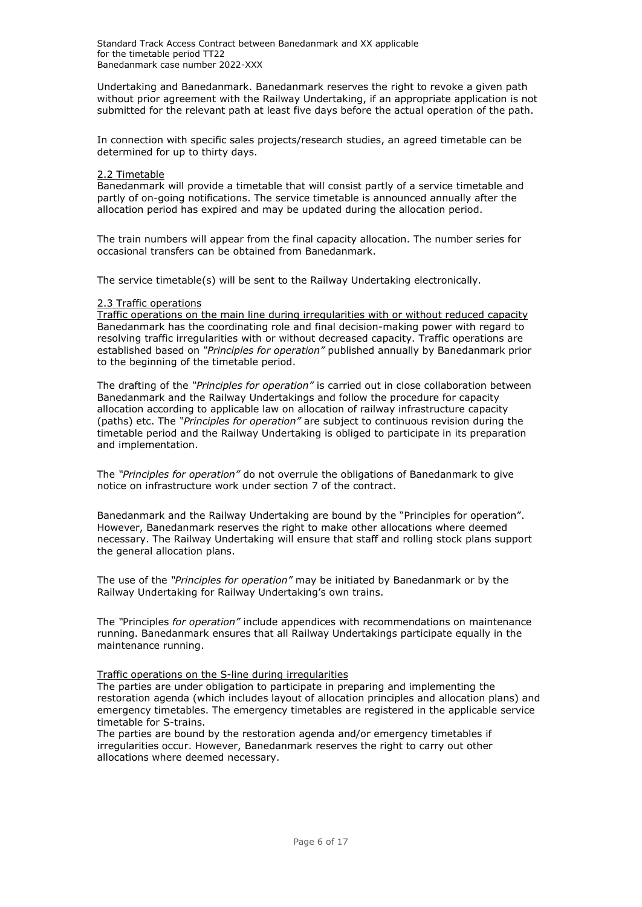Undertaking and Banedanmark. Banedanmark reserves the right to revoke a given path without prior agreement with the Railway Undertaking, if an appropriate application is not submitted for the relevant path at least five days before the actual operation of the path.

In connection with specific sales projects/research studies, an agreed timetable can be determined for up to thirty days.

#### <span id="page-5-0"></span>2.2 Timetable

Banedanmark will provide a timetable that will consist partly of a service timetable and partly of on-going notifications. The service timetable is announced annually after the allocation period has expired and may be updated during the allocation period.

The train numbers will appear from the final capacity allocation. The number series for occasional transfers can be obtained from Banedanmark.

The service timetable(s) will be sent to the Railway Undertaking electronically.

#### <span id="page-5-1"></span>2.3 Traffic operations

Traffic operations on the main line during irregularities with or without reduced capacity Banedanmark has the coordinating role and final decision-making power with regard to resolving traffic irregularities with or without decreased capacity. Traffic operations are established based on *"Principles for operation"* published annually by Banedanmark prior to the beginning of the timetable period.

The drafting of the *"Principles for operation"* is carried out in close collaboration between Banedanmark and the Railway Undertakings and follow the procedure for capacity allocation according to applicable law on allocation of railway infrastructure capacity (paths) etc. The *"Principles for operation"* are subject to continuous revision during the timetable period and the Railway Undertaking is obliged to participate in its preparation and implementation.

The *"Principles for operation"* do not overrule the obligations of Banedanmark to give notice on infrastructure work under section 7 of the contract.

Banedanmark and the Railway Undertaking are bound by the "Principles for operation". However, Banedanmark reserves the right to make other allocations where deemed necessary. The Railway Undertaking will ensure that staff and rolling stock plans support the general allocation plans.

The use of the *"Principles for operation"* may be initiated by Banedanmark or by the Railway Undertaking for Railway Undertaking's own trains.

The *"*Principles *for operation"* include appendices with recommendations on maintenance running. Banedanmark ensures that all Railway Undertakings participate equally in the maintenance running.

## Traffic operations on the S-line during irregularities

The parties are under obligation to participate in preparing and implementing the restoration agenda (which includes layout of allocation principles and allocation plans) and emergency timetables. The emergency timetables are registered in the applicable service timetable for S-trains.

The parties are bound by the restoration agenda and/or emergency timetables if irregularities occur. However, Banedanmark reserves the right to carry out other allocations where deemed necessary.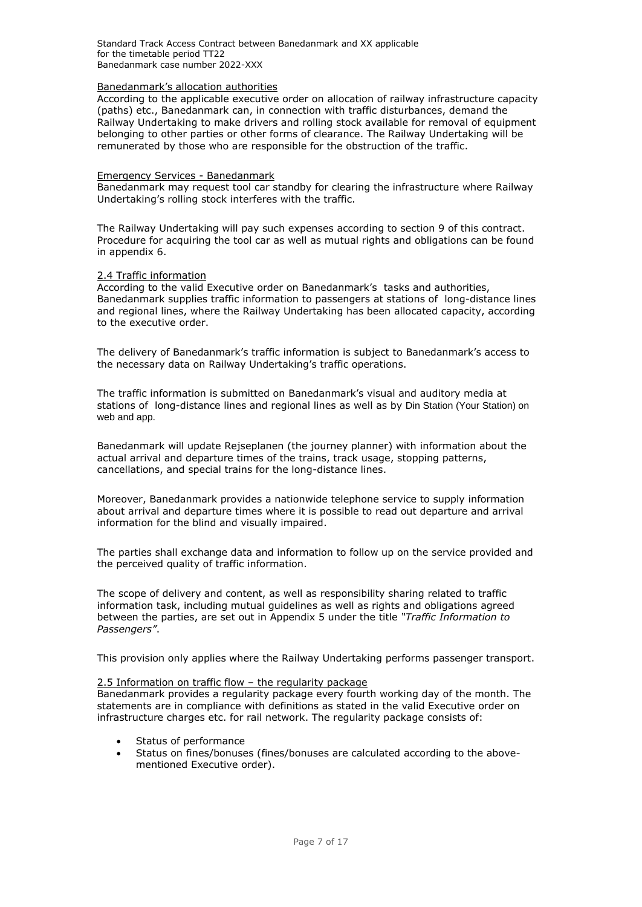Standard Track Access Contract between Banedanmark and XX applicable for the timetable period TT22 Banedanmark case number 2022-XXX

#### Banedanmark's allocation authorities

According to the applicable executive order on allocation of railway infrastructure capacity (paths) etc., Banedanmark can, in connection with traffic disturbances, demand the Railway Undertaking to make drivers and rolling stock available for removal of equipment belonging to other parties or other forms of clearance. The Railway Undertaking will be remunerated by those who are responsible for the obstruction of the traffic.

#### Emergency Services - Banedanmark

Banedanmark may request tool car standby for clearing the infrastructure where Railway Undertaking's rolling stock interferes with the traffic.

The Railway Undertaking will pay such expenses according to section 9 of this contract. Procedure for acquiring the tool car as well as mutual rights and obligations can be found in appendix 6.

#### 2.4 Traffic information

According to the valid Executive order on Banedanmark's tasks and authorities, Banedanmark supplies traffic information to passengers at stations of long-distance lines and regional lines, where the Railway Undertaking has been allocated capacity, according to the executive order.

The delivery of Banedanmark's traffic information is subject to Banedanmark's access to the necessary data on Railway Undertaking's traffic operations.

The traffic information is submitted on Banedanmark's visual and auditory media at stations of long-distance lines and regional lines as well as by Din Station (Your Station) on web and app.

Banedanmark will update Rejseplanen (the journey planner) with information about the actual arrival and departure times of the trains, track usage, stopping patterns, cancellations, and special trains for the long-distance lines.

Moreover, Banedanmark provides a nationwide telephone service to supply information about arrival and departure times where it is possible to read out departure and arrival information for the blind and visually impaired.

The parties shall exchange data and information to follow up on the service provided and the perceived quality of traffic information.

The scope of delivery and content, as well as responsibility sharing related to traffic information task, including mutual guidelines as well as rights and obligations agreed between the parties, are set out in Appendix 5 under the title *"Traffic Information to Passengers"*.

This provision only applies where the Railway Undertaking performs passenger transport.

### 2.5 Information on traffic flow – the regularity package

Banedanmark provides a regularity package every fourth working day of the month. The statements are in compliance with definitions as stated in the valid Executive order on infrastructure charges etc. for rail network. The regularity package consists of:

- Status of performance
- Status on fines/bonuses (fines/bonuses are calculated according to the abovementioned Executive order).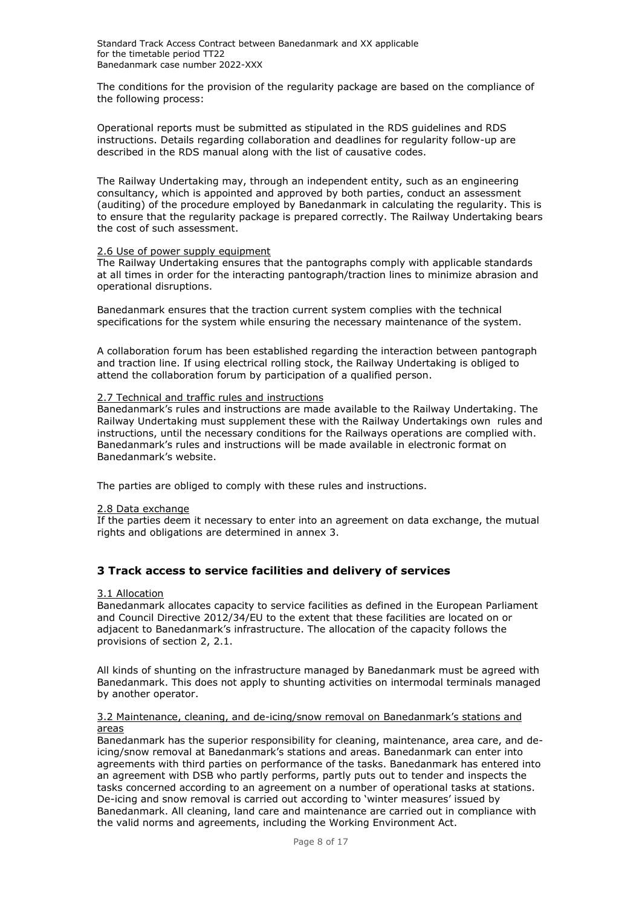The conditions for the provision of the regularity package are based on the compliance of the following process:

Operational reports must be submitted as stipulated in the RDS guidelines and RDS instructions. Details regarding collaboration and deadlines for regularity follow-up are described in the RDS manual along with the list of causative codes.

The Railway Undertaking may, through an independent entity, such as an engineering consultancy, which is appointed and approved by both parties, conduct an assessment (auditing) of the procedure employed by Banedanmark in calculating the regularity. This is to ensure that the regularity package is prepared correctly. The Railway Undertaking bears the cost of such assessment.

### <span id="page-7-0"></span>2.6 Use of power supply equipment

The Railway Undertaking ensures that the pantographs comply with applicable standards at all times in order for the interacting pantograph/traction lines to minimize abrasion and operational disruptions.

Banedanmark ensures that the traction current system complies with the technical specifications for the system while ensuring the necessary maintenance of the system.

A collaboration forum has been established regarding the interaction between pantograph and traction line. If using electrical rolling stock, the Railway Undertaking is obliged to attend the collaboration forum by participation of a qualified person.

### <span id="page-7-1"></span>2.7 Technical and traffic rules and instructions

Banedanmark's rules and instructions are made available to the Railway Undertaking. The Railway Undertaking must supplement these with the Railway Undertakings own rules and instructions, until the necessary conditions for the Railways operations are complied with. Banedanmark's rules and instructions will be made available in electronic format on Banedanmark's website.

<span id="page-7-2"></span>The parties are obliged to comply with these rules and instructions.

#### 2.8 Data exchange

<span id="page-7-3"></span>If the parties deem it necessary to enter into an agreement on data exchange, the mutual rights and obligations are determined in annex 3.

## <span id="page-7-4"></span>**3 Track access to service facilities and delivery of services**

### 3.1 Allocation

Banedanmark allocates capacity to service facilities as defined in the European Parliament and Council Directive 2012/34/EU to the extent that these facilities are located on or adjacent to Banedanmark's infrastructure. The allocation of the capacity follows the provisions of section 2, 2.1.

All kinds of shunting on the infrastructure managed by Banedanmark must be agreed with Banedanmark. This does not apply to shunting activities on intermodal terminals managed by another operator.

#### <span id="page-7-5"></span>3.2 Maintenance, cleaning, and de-icing/snow removal on Banedanmark's stations and areas

Banedanmark has the superior responsibility for cleaning, maintenance, area care, and deicing/snow removal at Banedanmark's stations and areas. Banedanmark can enter into agreements with third parties on performance of the tasks. Banedanmark has entered into an agreement with DSB who partly performs, partly puts out to tender and inspects the tasks concerned according to an agreement on a number of operational tasks at stations. De-icing and snow removal is carried out according to 'winter measures' issued by Banedanmark. All cleaning, land care and maintenance are carried out in compliance with the valid norms and agreements, including the Working Environment Act.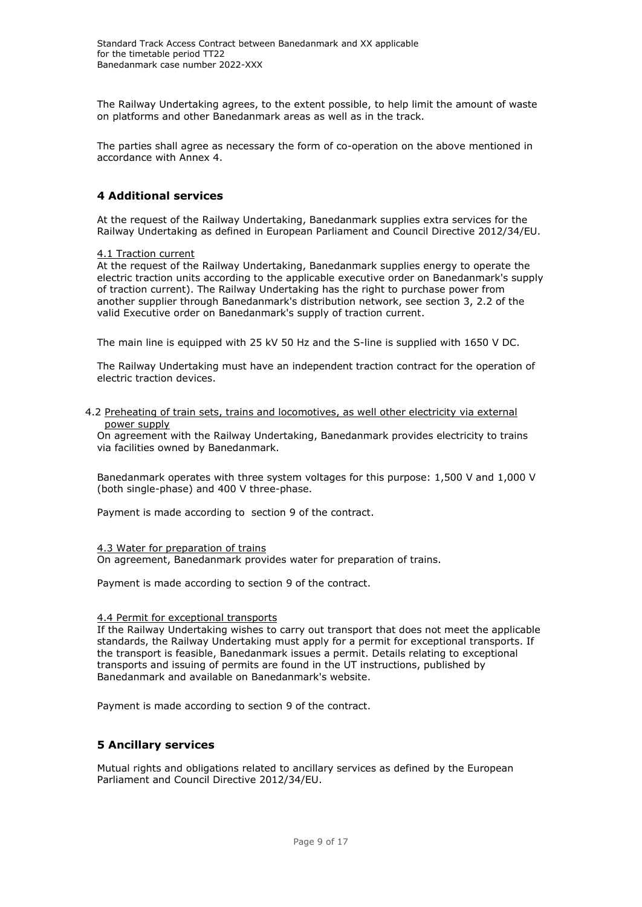The Railway Undertaking agrees, to the extent possible, to help limit the amount of waste on platforms and other Banedanmark areas as well as in the track.

<span id="page-8-0"></span>The parties shall agree as necessary the form of co-operation on the above mentioned in accordance with Annex 4.

## **4 Additional services**

At the request of the Railway Undertaking, Banedanmark supplies extra services for the Railway Undertaking as defined in European Parliament and Council Directive 2012/34/EU.

#### <span id="page-8-1"></span>4.1 Traction current

At the request of the Railway Undertaking, Banedanmark supplies energy to operate the electric traction units according to the applicable executive order on Banedanmark's supply of traction current). The Railway Undertaking has the right to purchase power from another supplier through Banedanmark's distribution network, see section 3, 2.2 of the valid Executive order on Banedanmark's supply of traction current.

The main line is equipped with 25 kV 50 Hz and the S-line is supplied with 1650 V DC.

The Railway Undertaking must have an independent traction contract for the operation of electric traction devices.

#### <span id="page-8-2"></span>4.2 Preheating of train sets, trains and locomotives, as well other electricity via external power supply

On agreement with the Railway Undertaking, Banedanmark provides electricity to trains via facilities owned by Banedanmark.

Banedanmark operates with three system voltages for this purpose: 1,500 V and 1,000 V (both single-phase) and 400 V three-phase.

Payment is made according to section 9 of the contract.

#### 4.3 Water for preparation of trains

On agreement, Banedanmark provides water for preparation of trains.

Payment is made according to section 9 of the contract.

#### <span id="page-8-3"></span>4.4 Permit for exceptional transports

If the Railway Undertaking wishes to carry out transport that does not meet the applicable standards, the Railway Undertaking must apply for a permit for exceptional transports. If the transport is feasible, Banedanmark issues a permit. Details relating to exceptional transports and issuing of permits are found in the UT instructions, published by Banedanmark and available on Banedanmark's website.

<span id="page-8-4"></span>Payment is made according to section 9 of the contract.

## **5 Ancillary services**

Mutual rights and obligations related to ancillary services as defined by the European Parliament and Council Directive 2012/34/EU.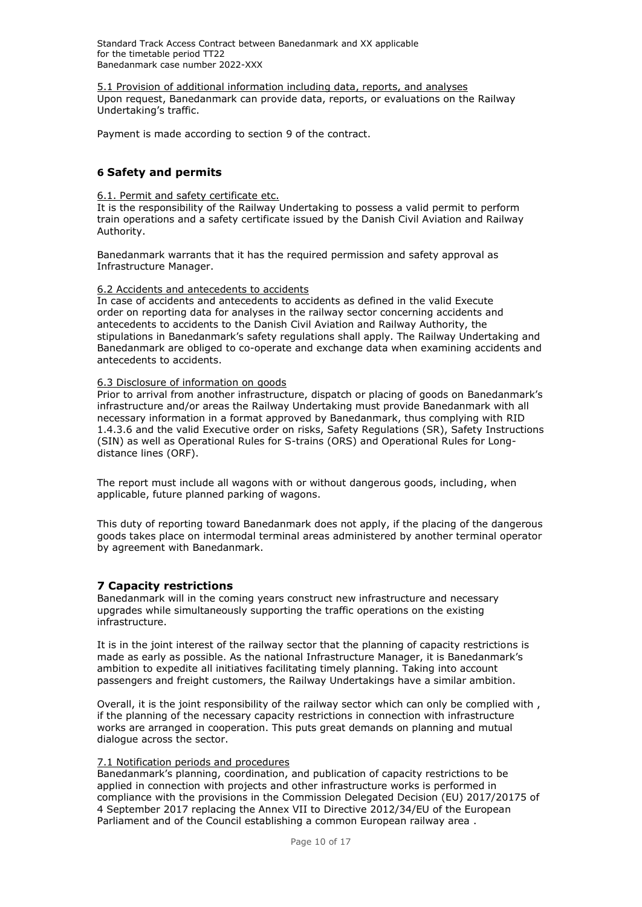Standard Track Access Contract between Banedanmark and XX applicable for the timetable period TT22 Banedanmark case number 2022-XXX

<span id="page-9-0"></span>5.1 Provision of additional information including data, reports, and analyses Upon request, Banedanmark can provide data, reports, or evaluations on the Railway Undertaking's traffic.

<span id="page-9-1"></span>Payment is made according to section 9 of the contract.

## **6 Safety and permits**

## <span id="page-9-2"></span>6.1. Permit and safety certificate etc.

It is the responsibility of the Railway Undertaking to possess a valid permit to perform train operations and a safety certificate issued by the Danish Civil Aviation and Railway Authority.

Banedanmark warrants that it has the required permission and safety approval as Infrastructure Manager.

## <span id="page-9-3"></span>6.2 Accidents and antecedents to accidents

In case of accidents and antecedents to accidents as defined in the valid Execute order on reporting data for analyses in the railway sector concerning accidents and antecedents to accidents to the Danish Civil Aviation and Railway Authority, the stipulations in Banedanmark's safety regulations shall apply. The Railway Undertaking and Banedanmark are obliged to co-operate and exchange data when examining accidents and antecedents to accidents.

## <span id="page-9-4"></span>6.3 Disclosure of information on goods

Prior to arrival from another infrastructure, dispatch or placing of goods on Banedanmark's infrastructure and/or areas the Railway Undertaking must provide Banedanmark with all necessary information in a format approved by Banedanmark, thus complying with RID 1.4.3.6 and the valid Executive order on risks, Safety Regulations (SR), Safety Instructions (SIN) as well as Operational Rules for S-trains (ORS) and Operational Rules for Longdistance lines (ORF).

The report must include all wagons with or without dangerous goods, including, when applicable, future planned parking of wagons.

This duty of reporting toward Banedanmark does not apply, if the placing of the dangerous goods takes place on intermodal terminal areas administered by another terminal operator by agreement with Banedanmark.

## <span id="page-9-5"></span>**7 Capacity restrictions**

Banedanmark will in the coming years construct new infrastructure and necessary upgrades while simultaneously supporting the traffic operations on the existing infrastructure.

It is in the joint interest of the railway sector that the planning of capacity restrictions is made as early as possible. As the national Infrastructure Manager, it is Banedanmark's ambition to expedite all initiatives facilitating timely planning. Taking into account passengers and freight customers, the Railway Undertakings have a similar ambition.

Overall, it is the joint responsibility of the railway sector which can only be complied with , if the planning of the necessary capacity restrictions in connection with infrastructure works are arranged in cooperation. This puts great demands on planning and mutual dialogue across the sector.

## <span id="page-9-6"></span>7.1 Notification periods and procedures

Banedanmark's planning, coordination, and publication of capacity restrictions to be applied in connection with projects and other infrastructure works is performed in compliance with the provisions in the Commission Delegated Decision (EU) 2017/20175 of 4 September 2017 replacing the Annex VII to Directive 2012/34/EU of the European Parliament and of the Council establishing a common European railway area .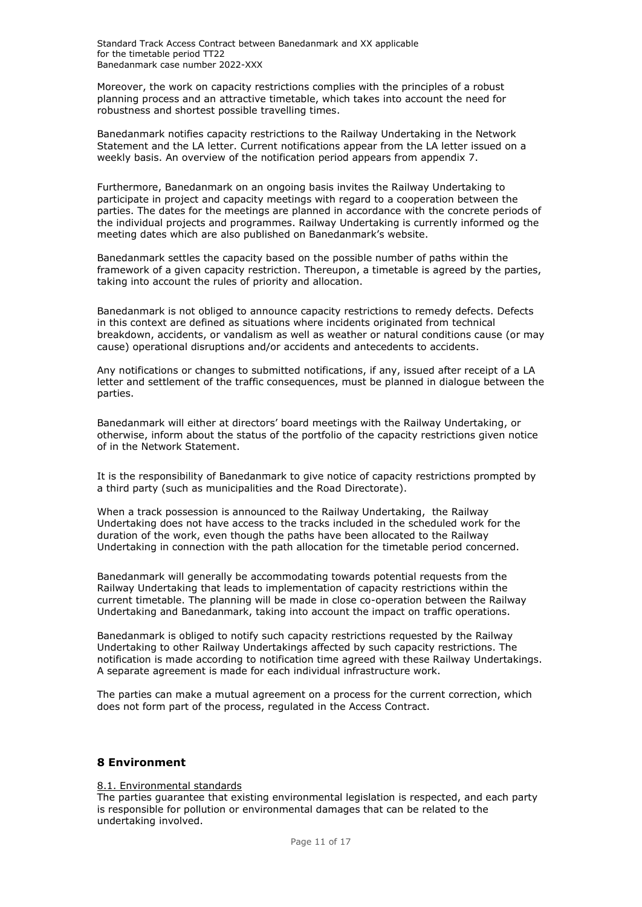Moreover, the work on capacity restrictions complies with the principles of a robust planning process and an attractive timetable, which takes into account the need for robustness and shortest possible travelling times.

Banedanmark notifies capacity restrictions to the Railway Undertaking in the Network Statement and the LA letter. Current notifications appear from the LA letter issued on a weekly basis. An overview of the notification period appears from appendix 7.

Furthermore, Banedanmark on an ongoing basis invites the Railway Undertaking to participate in project and capacity meetings with regard to a cooperation between the parties. The dates for the meetings are planned in accordance with the concrete periods of the individual projects and programmes. Railway Undertaking is currently informed og the meeting dates which are also published on Banedanmark's website.

Banedanmark settles the capacity based on the possible number of paths within the framework of a given capacity restriction. Thereupon, a timetable is agreed by the parties, taking into account the rules of priority and allocation.

Banedanmark is not obliged to announce capacity restrictions to remedy defects. Defects in this context are defined as situations where incidents originated from technical breakdown, accidents, or vandalism as well as weather or natural conditions cause (or may cause) operational disruptions and/or accidents and antecedents to accidents.

Any notifications or changes to submitted notifications, if any, issued after receipt of a LA letter and settlement of the traffic consequences, must be planned in dialogue between the parties.

Banedanmark will either at directors' board meetings with the Railway Undertaking, or otherwise, inform about the status of the portfolio of the capacity restrictions given notice of in the Network Statement.

It is the responsibility of Banedanmark to give notice of capacity restrictions prompted by a third party (such as municipalities and the Road Directorate).

When a track possession is announced to the Railway Undertaking, the Railway Undertaking does not have access to the tracks included in the scheduled work for the duration of the work, even though the paths have been allocated to the Railway Undertaking in connection with the path allocation for the timetable period concerned.

Banedanmark will generally be accommodating towards potential requests from the Railway Undertaking that leads to implementation of capacity restrictions within the current timetable. The planning will be made in close co-operation between the Railway Undertaking and Banedanmark, taking into account the impact on traffic operations.

Banedanmark is obliged to notify such capacity restrictions requested by the Railway Undertaking to other Railway Undertakings affected by such capacity restrictions. The notification is made according to notification time agreed with these Railway Undertakings. A separate agreement is made for each individual infrastructure work.

The parties can make a mutual agreement on a process for the current correction, which does not form part of the process, regulated in the Access Contract.

## <span id="page-10-0"></span>**8 Environment**

#### <span id="page-10-1"></span>8.1. Environmental standards

The parties guarantee that existing environmental legislation is respected, and each party is responsible for pollution or environmental damages that can be related to the undertaking involved.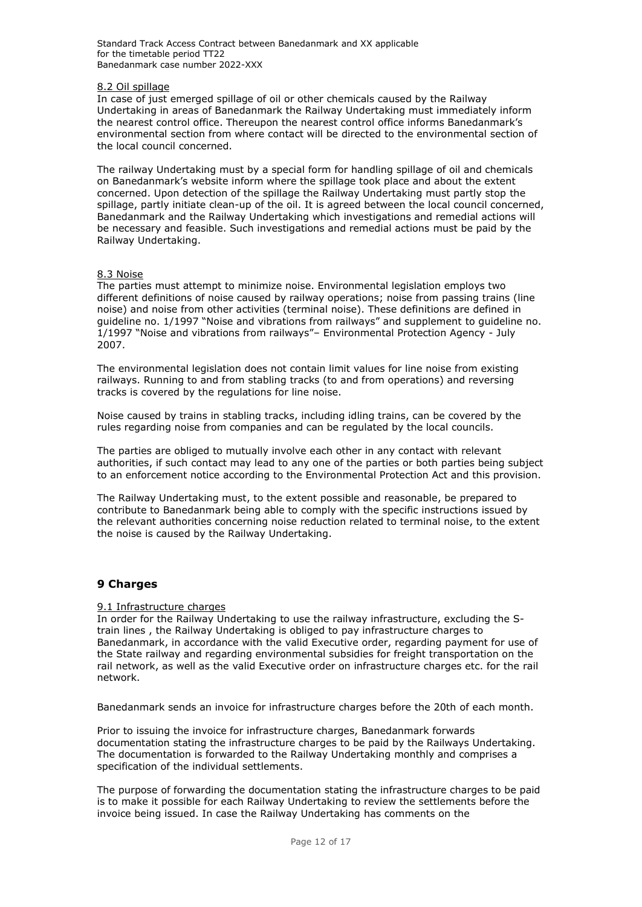### <span id="page-11-0"></span>8.2 Oil spillage

In case of just emerged spillage of oil or other chemicals caused by the Railway Undertaking in areas of Banedanmark the Railway Undertaking must immediately inform the nearest control office. Thereupon the nearest control office informs Banedanmark's environmental section from where contact will be directed to the environmental section of the local council concerned.

The railway Undertaking must by a special form for handling spillage of oil and chemicals on Banedanmark's website inform where the spillage took place and about the extent concerned. Upon detection of the spillage the Railway Undertaking must partly stop the spillage, partly initiate clean-up of the oil. It is agreed between the local council concerned, Banedanmark and the Railway Undertaking which investigations and remedial actions will be necessary and feasible. Such investigations and remedial actions must be paid by the Railway Undertaking.

#### <span id="page-11-1"></span>8.3 Noise

The parties must attempt to minimize noise. Environmental legislation employs two different definitions of noise caused by railway operations; noise from passing trains (line noise) and noise from other activities (terminal noise). These definitions are defined in guideline no. 1/1997 "Noise and vibrations from railways" and supplement to guideline no. 1/1997 "Noise and vibrations from railways"– Environmental Protection Agency - July 2007.

The environmental legislation does not contain limit values for line noise from existing railways. Running to and from stabling tracks (to and from operations) and reversing tracks is covered by the regulations for line noise.

Noise caused by trains in stabling tracks, including idling trains, can be covered by the rules regarding noise from companies and can be regulated by the local councils.

The parties are obliged to mutually involve each other in any contact with relevant authorities, if such contact may lead to any one of the parties or both parties being subject to an enforcement notice according to the Environmental Protection Act and this provision.

The Railway Undertaking must, to the extent possible and reasonable, be prepared to contribute to Banedanmark being able to comply with the specific instructions issued by the relevant authorities concerning noise reduction related to terminal noise, to the extent the noise is caused by the Railway Undertaking.

### <span id="page-11-2"></span>**9 Charges**

#### <span id="page-11-3"></span>9.1 Infrastructure charges

In order for the Railway Undertaking to use the railway infrastructure, excluding the Strain lines , the Railway Undertaking is obliged to pay infrastructure charges to Banedanmark, in accordance with the valid Executive order, regarding payment for use of the State railway and regarding environmental subsidies for freight transportation on the rail network, as well as the valid Executive order on infrastructure charges etc. for the rail network.

Banedanmark sends an invoice for infrastructure charges before the 20th of each month.

Prior to issuing the invoice for infrastructure charges, Banedanmark forwards documentation stating the infrastructure charges to be paid by the Railways Undertaking. The documentation is forwarded to the Railway Undertaking monthly and comprises a specification of the individual settlements.

The purpose of forwarding the documentation stating the infrastructure charges to be paid is to make it possible for each Railway Undertaking to review the settlements before the invoice being issued. In case the Railway Undertaking has comments on the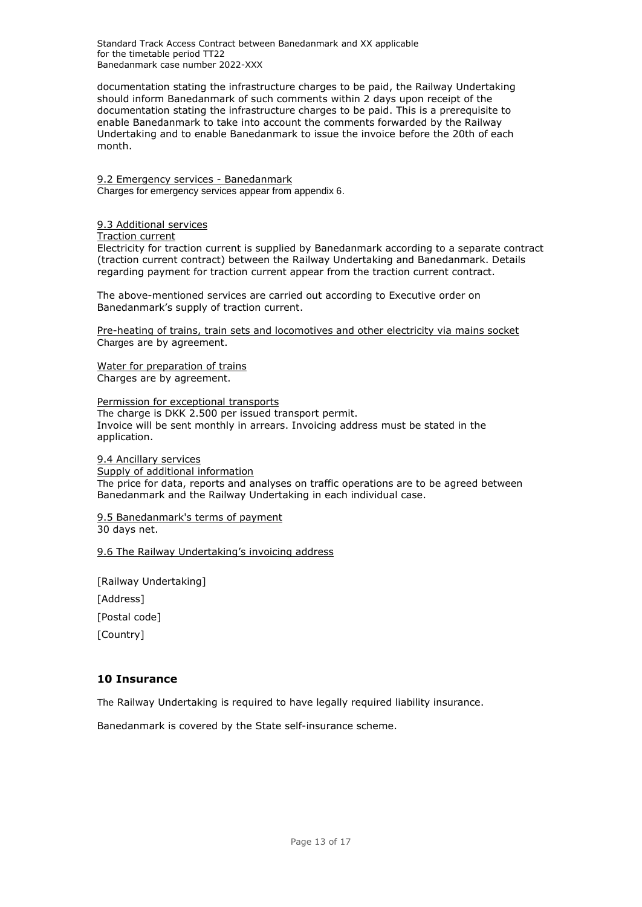Standard Track Access Contract between Banedanmark and XX applicable for the timetable period TT22 Banedanmark case number 2022-XXX

documentation stating the infrastructure charges to be paid, the Railway Undertaking should inform Banedanmark of such comments within 2 days upon receipt of the documentation stating the infrastructure charges to be paid. This is a prerequisite to enable Banedanmark to take into account the comments forwarded by the Railway Undertaking and to enable Banedanmark to issue the invoice before the 20th of each month.

<span id="page-12-0"></span>9.2 Emergency services - Banedanmark Charges for emergency services appear from appendix 6.

#### <span id="page-12-1"></span>9.3 Additional services

Traction current

Electricity for traction current is supplied by Banedanmark according to a separate contract (traction current contract) between the Railway Undertaking and Banedanmark. Details regarding payment for traction current appear from the traction current contract.

The above-mentioned services are carried out according to Executive order on Banedanmark's supply of traction current.

Pre-heating of trains, train sets and locomotives and other electricity via mains socket Charges are by agreement.

Water for preparation of trains Charges are by agreement.

Permission for exceptional transports The charge is DKK 2.500 per issued transport permit. Invoice will be sent monthly in arrears. Invoicing address must be stated in the application.

<span id="page-12-2"></span>9.4 Ancillary services

Supply of additional information The price for data, reports and analyses on traffic operations are to be agreed between Banedanmark and the Railway Undertaking in each individual case.

<span id="page-12-3"></span>9.5 Banedanmark's terms of payment 30 days net.

<span id="page-12-4"></span>9.6 The Railway Undertaking's invoicing address

[Railway Undertaking] [Address] [Postal code] [Country]

## <span id="page-12-5"></span>**10 Insurance**

The Railway Undertaking is required to have legally required liability insurance.

Banedanmark is covered by the State self-insurance scheme.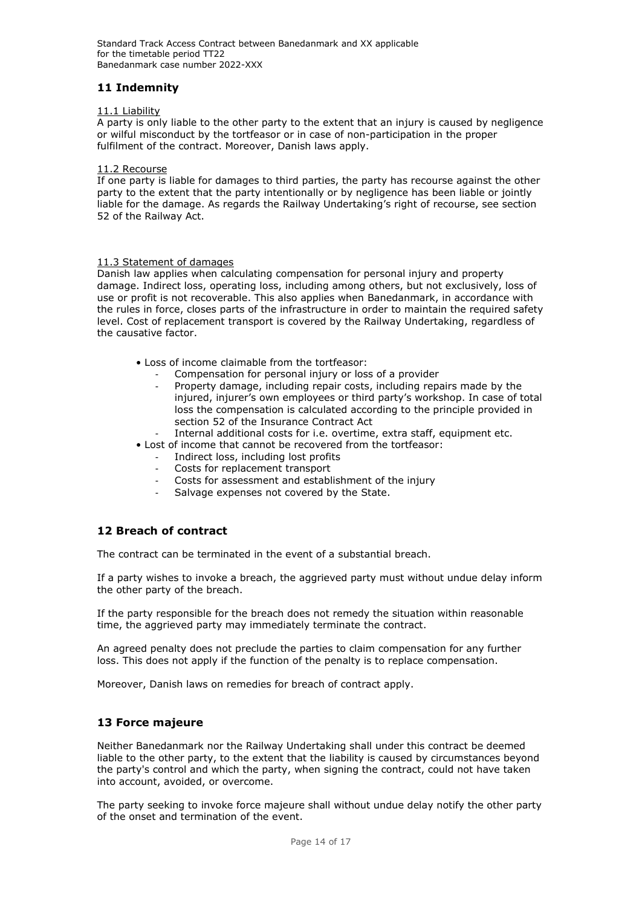# <span id="page-13-0"></span>**11 Indemnity**

## <span id="page-13-1"></span>11.1 Liability

A party is only liable to the other party to the extent that an injury is caused by negligence or wilful misconduct by the tortfeasor or in case of non-participation in the proper fulfilment of the contract. Moreover, Danish laws apply.

### <span id="page-13-2"></span>11.2 Recourse

If one party is liable for damages to third parties, the party has recourse against the other party to the extent that the party intentionally or by negligence has been liable or jointly liable for the damage. As regards the Railway Undertaking's right of recourse, see section 52 of the Railway Act.

### <span id="page-13-3"></span>11.3 Statement of damages

Danish law applies when calculating compensation for personal injury and property damage. Indirect loss, operating loss, including among others, but not exclusively, loss of use or profit is not recoverable. This also applies when Banedanmark, in accordance with the rules in force, closes parts of the infrastructure in order to maintain the required safety level. Cost of replacement transport is covered by the Railway Undertaking, regardless of the causative factor.

- Loss of income claimable from the tortfeasor:
	- Compensation for personal injury or loss of a provider
	- Property damage, including repair costs, including repairs made by the injured, injurer's own employees or third party's workshop. In case of total loss the compensation is calculated according to the principle provided in section 52 of the Insurance Contract Act
	- Internal additional costs for i.e. overtime, extra staff, equipment etc.
- Lost of income that cannot be recovered from the tortfeasor:
	- Indirect loss, including lost profits
	- Costs for replacement transport
	- Costs for assessment and establishment of the injury
	- Salvage expenses not covered by the State.

## <span id="page-13-4"></span>**12 Breach of contract**

The contract can be terminated in the event of a substantial breach.

If a party wishes to invoke a breach, the aggrieved party must without undue delay inform the other party of the breach.

If the party responsible for the breach does not remedy the situation within reasonable time, the aggrieved party may immediately terminate the contract.

An agreed penalty does not preclude the parties to claim compensation for any further loss. This does not apply if the function of the penalty is to replace compensation.

<span id="page-13-5"></span>Moreover, Danish laws on remedies for breach of contract apply.

## **13 Force majeure**

Neither Banedanmark nor the Railway Undertaking shall under this contract be deemed liable to the other party, to the extent that the liability is caused by circumstances beyond the party's control and which the party, when signing the contract, could not have taken into account, avoided, or overcome.

The party seeking to invoke force majeure shall without undue delay notify the other party of the onset and termination of the event.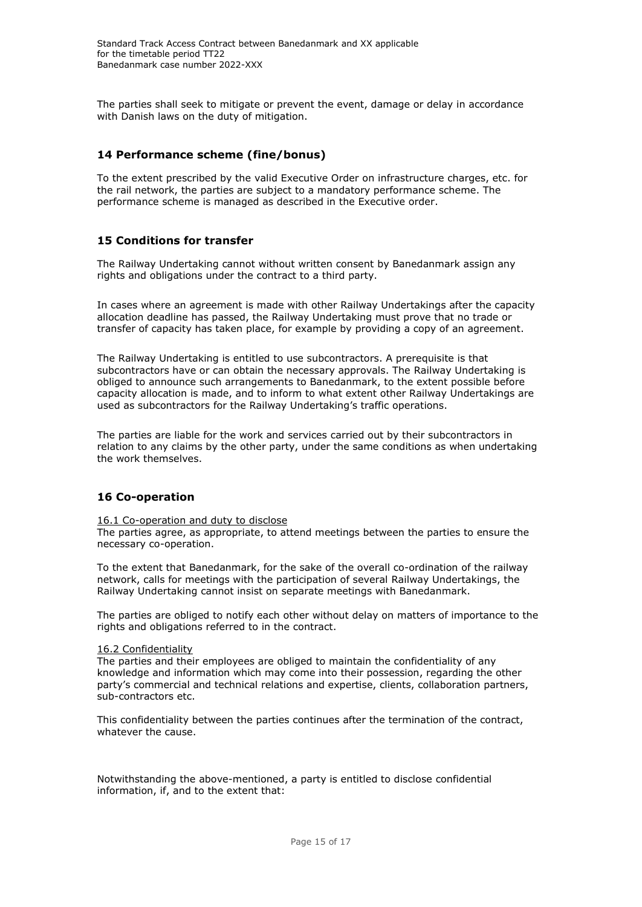<span id="page-14-0"></span>The parties shall seek to mitigate or prevent the event, damage or delay in accordance with Danish laws on the duty of mitigation.

# **14 Performance scheme (fine/bonus)**

To the extent prescribed by the valid Executive Order on infrastructure charges, etc. for the rail network, the parties are subject to a mandatory performance scheme. The performance scheme is managed as described in the Executive order.

## <span id="page-14-1"></span>**15 Conditions for transfer**

The Railway Undertaking cannot without written consent by Banedanmark assign any rights and obligations under the contract to a third party.

In cases where an agreement is made with other Railway Undertakings after the capacity allocation deadline has passed, the Railway Undertaking must prove that no trade or transfer of capacity has taken place, for example by providing a copy of an agreement.

The Railway Undertaking is entitled to use subcontractors. A prerequisite is that subcontractors have or can obtain the necessary approvals. The Railway Undertaking is obliged to announce such arrangements to Banedanmark, to the extent possible before capacity allocation is made, and to inform to what extent other Railway Undertakings are used as subcontractors for the Railway Undertaking's traffic operations.

The parties are liable for the work and services carried out by their subcontractors in relation to any claims by the other party, under the same conditions as when undertaking the work themselves.

## <span id="page-14-2"></span>**16 Co-operation**

### 16.1 Co-operation and duty to disclose

The parties agree, as appropriate, to attend meetings between the parties to ensure the necessary co-operation.

To the extent that Banedanmark, for the sake of the overall co-ordination of the railway network, calls for meetings with the participation of several Railway Undertakings, the Railway Undertaking cannot insist on separate meetings with Banedanmark.

The parties are obliged to notify each other without delay on matters of importance to the rights and obligations referred to in the contract.

### <span id="page-14-3"></span>16.2 Confidentiality

The parties and their employees are obliged to maintain the confidentiality of any knowledge and information which may come into their possession, regarding the other party's commercial and technical relations and expertise, clients, collaboration partners, sub-contractors etc.

This confidentiality between the parties continues after the termination of the contract, whatever the cause.

Notwithstanding the above-mentioned, a party is entitled to disclose confidential information, if, and to the extent that: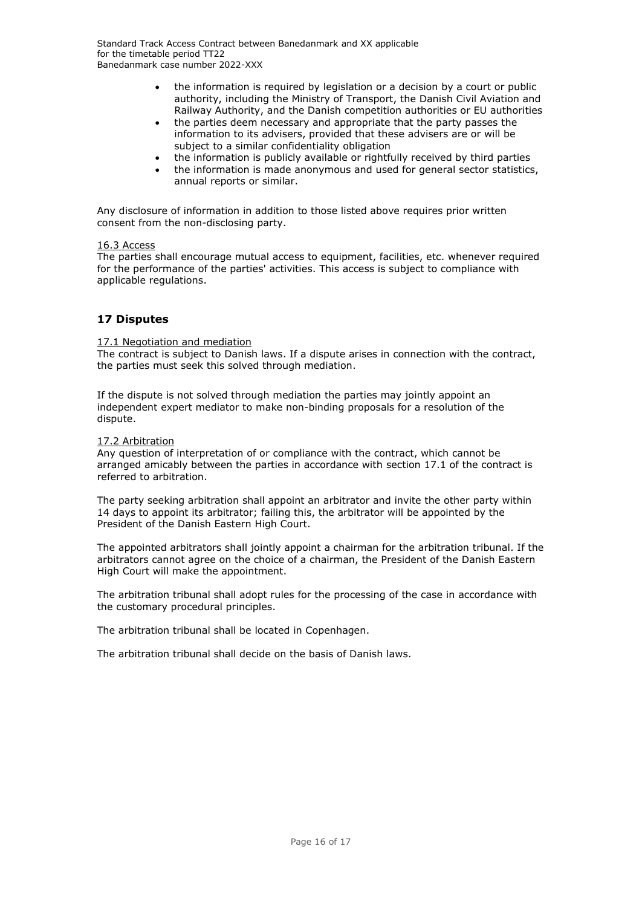- the information is required by legislation or a decision by a court or public authority, including the Ministry of Transport, the Danish Civil Aviation and Railway Authority, and the Danish competition authorities or EU authorities
- the parties deem necessary and appropriate that the party passes the information to its advisers, provided that these advisers are or will be subject to a similar confidentiality obligation
- the information is publicly available or rightfully received by third parties
- the information is made anonymous and used for general sector statistics, annual reports or similar.

Any disclosure of information in addition to those listed above requires prior written consent from the non-disclosing party.

### <span id="page-15-0"></span>16.3 Access

The parties shall encourage mutual access to equipment, facilities, etc. whenever required for the performance of the parties' activities. This access is subject to compliance with applicable regulations.

# <span id="page-15-1"></span>**17 Disputes**

### <span id="page-15-2"></span>17.1 Negotiation and mediation

The contract is subject to Danish laws. If a dispute arises in connection with the contract, the parties must seek this solved through mediation.

If the dispute is not solved through mediation the parties may jointly appoint an independent expert mediator to make non-binding proposals for a resolution of the dispute.

## <span id="page-15-3"></span>17.2 Arbitration

Any question of interpretation of or compliance with the contract, which cannot be arranged amicably between the parties in accordance with section 17.1 of the contract is referred to arbitration.

The party seeking arbitration shall appoint an arbitrator and invite the other party within 14 days to appoint its arbitrator; failing this, the arbitrator will be appointed by the President of the Danish Eastern High Court.

The appointed arbitrators shall jointly appoint a chairman for the arbitration tribunal. If the arbitrators cannot agree on the choice of a chairman, the President of the Danish Eastern High Court will make the appointment.

The arbitration tribunal shall adopt rules for the processing of the case in accordance with the customary procedural principles.

The arbitration tribunal shall be located in Copenhagen.

<span id="page-15-4"></span>The arbitration tribunal shall decide on the basis of Danish laws.